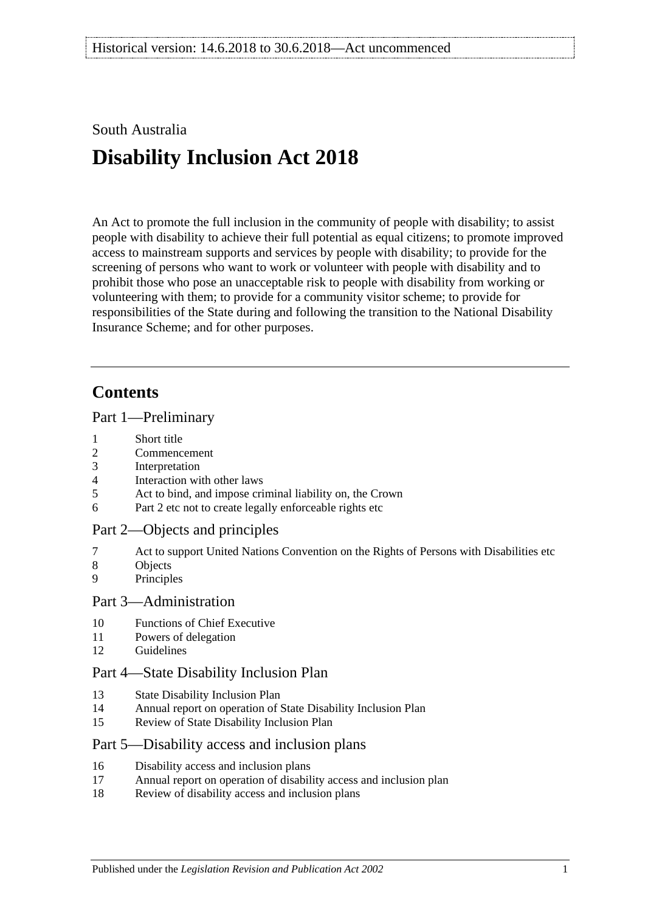## South Australia

# **Disability Inclusion Act 2018**

An Act to promote the full inclusion in the community of people with disability; to assist people with disability to achieve their full potential as equal citizens; to promote improved access to mainstream supports and services by people with disability; to provide for the screening of persons who want to work or volunteer with people with disability and to prohibit those who pose an unacceptable risk to people with disability from working or volunteering with them; to provide for a community visitor scheme; to provide for responsibilities of the State during and following the transition to the National Disability Insurance Scheme; and for other purposes.

## **Contents**

#### Part [1—Preliminary](#page-2-0)

- 1 [Short title](#page-2-1)
- 2 [Commencement](#page-2-2)
- 3 [Interpretation](#page-2-3)
- 4 [Interaction with other laws](#page-3-0)
- 5 [Act to bind, and impose criminal liability on, the Crown](#page-3-1)
- 6 [Part](#page-3-2) 2 [etc not to create legally enforceable rights etc](#page-3-2)

#### Part [2—Objects and principles](#page-3-3)

- 7 [Act to support United Nations Convention on the Rights of Persons with Disabilities etc](#page-3-4)
- 8 [Objects](#page-3-5)
- 9 [Principles](#page-4-0)

#### Part [3—Administration](#page-6-0)

- 10 [Functions of Chief Executive](#page-6-1)
- 11 [Powers of delegation](#page-7-0)
- 12 [Guidelines](#page-7-1)

#### Part [4—State Disability Inclusion Plan](#page-7-2)

- 13 [State Disability Inclusion Plan](#page-7-3)
- 14 [Annual report on operation of State Disability Inclusion Plan](#page-8-0)
- 15 [Review of State Disability Inclusion Plan](#page-9-0)

#### Part [5—Disability access and inclusion plans](#page-9-1)

- 16 [Disability access and inclusion plans](#page-9-2)
- 17 [Annual report on operation of disability access and inclusion plan](#page-10-0)
- 18 [Review of disability access and inclusion plans](#page-10-1)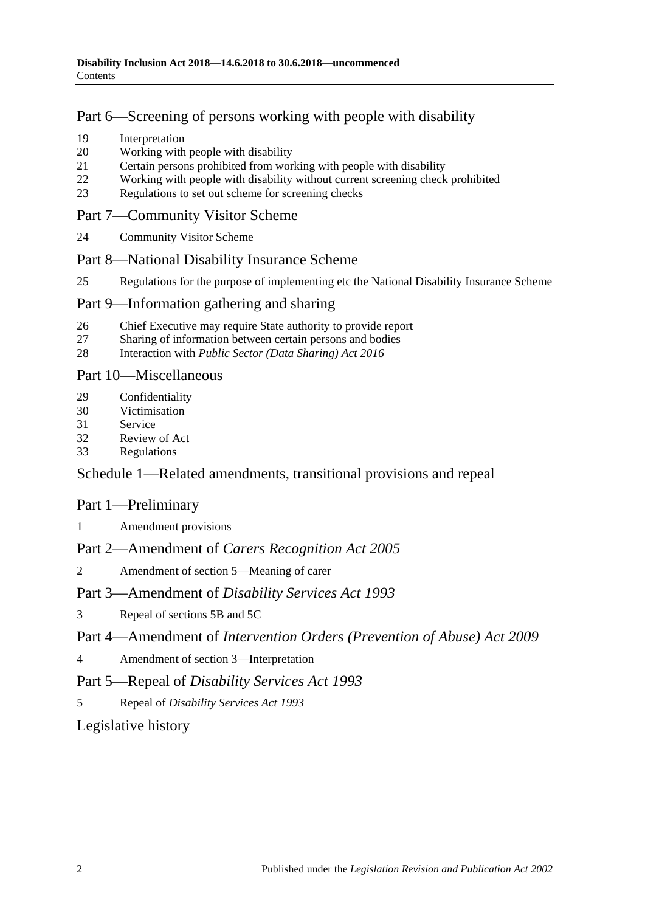## Part [6—Screening of persons working with people with disability](#page-10-2)

- 19 [Interpretation](#page-10-3)
- 20 [Working with people with disability](#page-11-0)
- 21 [Certain persons prohibited from working with people with disability](#page-11-1)
- 22 [Working with people with disability without current screening check prohibited](#page-12-0)
- 23 [Regulations to set out scheme for screening checks](#page-12-1)

### Part [7—Community Visitor Scheme](#page-13-0)

24 [Community Visitor Scheme](#page-13-1)

### Part [8—National Disability Insurance Scheme](#page-13-2)

25 [Regulations for the purpose of implementing etc the National Disability Insurance Scheme](#page-13-3)

### Part [9—Information gathering and sharing](#page-14-0)

- 26 [Chief Executive may require State authority to provide report](#page-14-1)<br>27 Sharing of information between certain persons and bodies
- [Sharing of information between certain persons and bodies](#page-14-2)
- 28 Interaction with *[Public Sector \(Data Sharing\) Act](#page-15-0) 2016*

### Part [10—Miscellaneous](#page-15-1)

- 29 [Confidentiality](#page-15-2)
- 30 [Victimisation](#page-16-0)
- 31 [Service](#page-17-0)
- 32 [Review of Act](#page-17-1)
- 33 [Regulations](#page-17-2)

## Schedule [1—Related amendments, transitional provisions and repeal](#page-18-0)

## Part 1—Preliminary

1 [Amendment provisions](#page-18-1)

## Part 2—Amendment of *Carers Recognition Act 2005*

2 [Amendment of section 5—Meaning of carer](#page-18-2)

## Part 3—Amendment of *Disability Services Act 1993*

3 [Repeal of sections 5B and 5C](#page-18-3)

## Part 4—Amendment of *Intervention Orders (Prevention of Abuse) Act 2009*

4 [Amendment of section 3—Interpretation](#page-19-0)

## Part 5—Repeal of *Disability Services Act 1993*

5 Repeal of *[Disability Services Act](#page-19-1) 1993*

## [Legislative history](#page-20-0)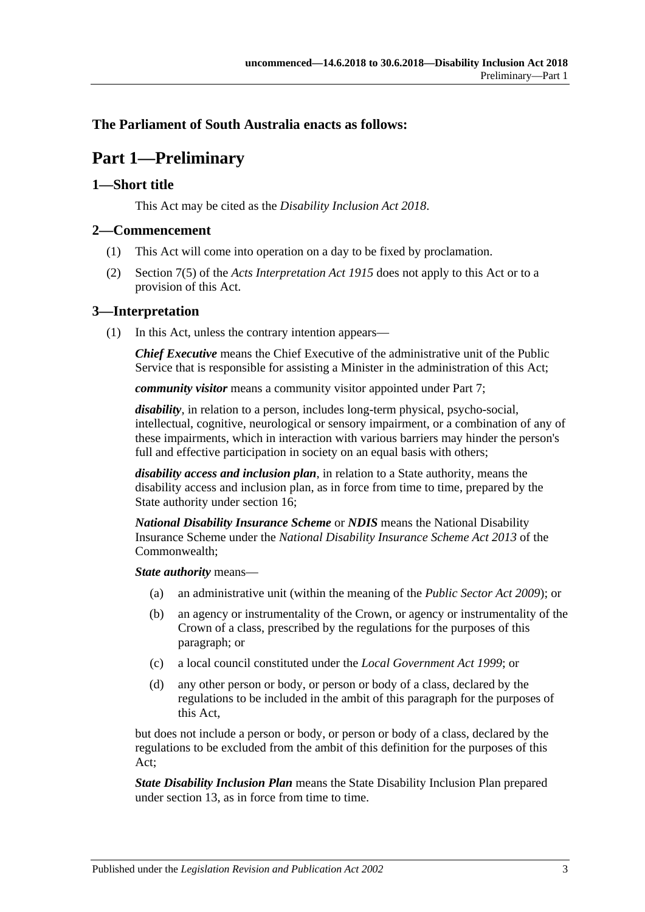### <span id="page-2-0"></span>**The Parliament of South Australia enacts as follows:**

## **Part 1—Preliminary**

#### <span id="page-2-1"></span>**1—Short title**

This Act may be cited as the *Disability Inclusion Act 2018*.

#### <span id="page-2-2"></span>**2—Commencement**

- (1) This Act will come into operation on a day to be fixed by proclamation.
- (2) Section 7(5) of the *[Acts Interpretation Act](http://www.legislation.sa.gov.au/index.aspx?action=legref&type=act&legtitle=Acts%20Interpretation%20Act%201915) 1915* does not apply to this Act or to a provision of this Act.

#### <span id="page-2-3"></span>**3—Interpretation**

(1) In this Act, unless the contrary intention appears—

*Chief Executive* means the Chief Executive of the administrative unit of the Public Service that is responsible for assisting a Minister in the administration of this Act;

*community visitor* means a community visitor appointed under [Part](#page-13-0) 7;

*disability*, in relation to a person, includes long-term physical, psycho-social, intellectual, cognitive, neurological or sensory impairment, or a combination of any of these impairments, which in interaction with various barriers may hinder the person's full and effective participation in society on an equal basis with others;

*disability access and inclusion plan*, in relation to a State authority, means the disability access and inclusion plan, as in force from time to time, prepared by the State authority under [section](#page-9-2) 16;

*National Disability Insurance Scheme* or *NDIS* means the National Disability Insurance Scheme under the *National Disability Insurance Scheme Act 2013* of the Commonwealth;

*State authority* means—

- (a) an administrative unit (within the meaning of the *[Public Sector Act](http://www.legislation.sa.gov.au/index.aspx?action=legref&type=act&legtitle=Public%20Sector%20Act%202009) 2009*); or
- (b) an agency or instrumentality of the Crown, or agency or instrumentality of the Crown of a class, prescribed by the regulations for the purposes of this paragraph; or
- (c) a local council constituted under the *[Local Government Act](http://www.legislation.sa.gov.au/index.aspx?action=legref&type=act&legtitle=Local%20Government%20Act%201999) 1999*; or
- (d) any other person or body, or person or body of a class, declared by the regulations to be included in the ambit of this paragraph for the purposes of this Act,

but does not include a person or body, or person or body of a class, declared by the regulations to be excluded from the ambit of this definition for the purposes of this Act;

*State Disability Inclusion Plan* means the State Disability Inclusion Plan prepared under [section](#page-7-3) 13, as in force from time to time.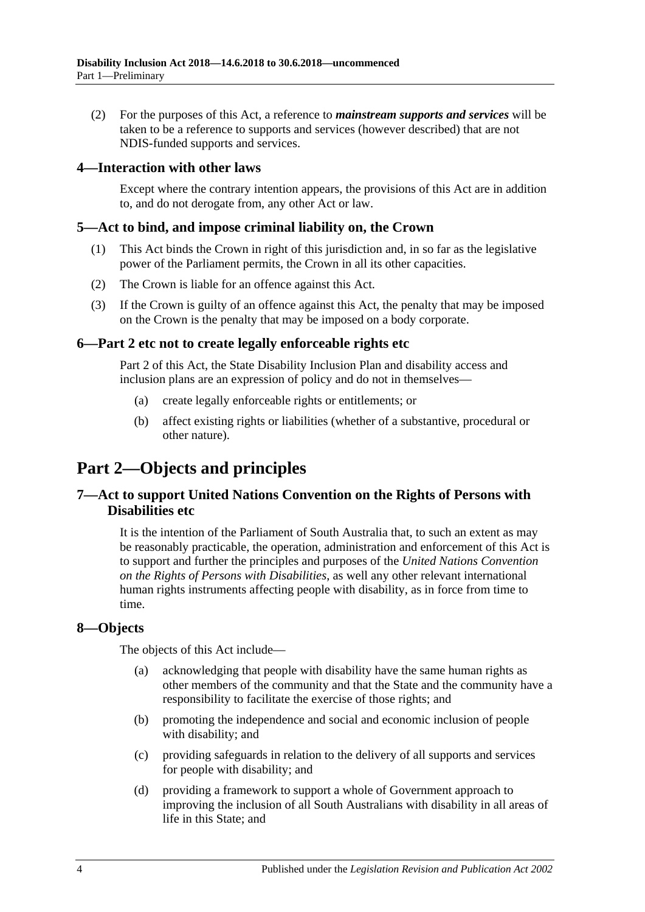(2) For the purposes of this Act, a reference to *mainstream supports and services* will be taken to be a reference to supports and services (however described) that are not NDIS-funded supports and services.

#### <span id="page-3-0"></span>**4—Interaction with other laws**

Except where the contrary intention appears, the provisions of this Act are in addition to, and do not derogate from, any other Act or law.

#### <span id="page-3-1"></span>**5—Act to bind, and impose criminal liability on, the Crown**

- (1) This Act binds the Crown in right of this jurisdiction and, in so far as the legislative power of the Parliament permits, the Crown in all its other capacities.
- (2) The Crown is liable for an offence against this Act.
- (3) If the Crown is guilty of an offence against this Act, the penalty that may be imposed on the Crown is the penalty that may be imposed on a body corporate.

#### <span id="page-3-2"></span>**6[—Part](#page-3-3) 2 etc not to create legally enforceable rights etc**

[Part](#page-3-3) 2 of this Act, the State Disability Inclusion Plan and disability access and inclusion plans are an expression of policy and do not in themselves—

- (a) create legally enforceable rights or entitlements; or
- (b) affect existing rights or liabilities (whether of a substantive, procedural or other nature).

## <span id="page-3-3"></span>**Part 2—Objects and principles**

### <span id="page-3-4"></span>**7—Act to support United Nations Convention on the Rights of Persons with Disabilities etc**

It is the intention of the Parliament of South Australia that, to such an extent as may be reasonably practicable, the operation, administration and enforcement of this Act is to support and further the principles and purposes of the *United Nations Convention on the Rights of Persons with Disabilities*, as well any other relevant international human rights instruments affecting people with disability, as in force from time to time.

#### <span id="page-3-5"></span>**8—Objects**

The objects of this Act include—

- (a) acknowledging that people with disability have the same human rights as other members of the community and that the State and the community have a responsibility to facilitate the exercise of those rights; and
- (b) promoting the independence and social and economic inclusion of people with disability; and
- (c) providing safeguards in relation to the delivery of all supports and services for people with disability; and
- (d) providing a framework to support a whole of Government approach to improving the inclusion of all South Australians with disability in all areas of life in this State; and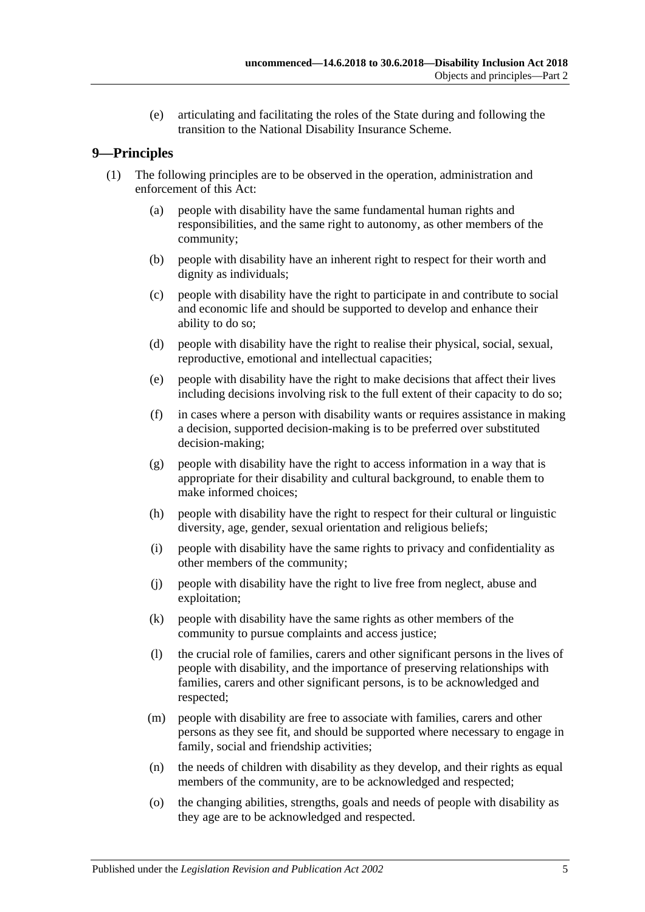(e) articulating and facilitating the roles of the State during and following the transition to the National Disability Insurance Scheme.

### <span id="page-4-0"></span>**9—Principles**

- (1) The following principles are to be observed in the operation, administration and enforcement of this Act:
	- (a) people with disability have the same fundamental human rights and responsibilities, and the same right to autonomy, as other members of the community;
	- (b) people with disability have an inherent right to respect for their worth and dignity as individuals;
	- (c) people with disability have the right to participate in and contribute to social and economic life and should be supported to develop and enhance their ability to do so;
	- (d) people with disability have the right to realise their physical, social, sexual, reproductive, emotional and intellectual capacities;
	- (e) people with disability have the right to make decisions that affect their lives including decisions involving risk to the full extent of their capacity to do so;
	- (f) in cases where a person with disability wants or requires assistance in making a decision, supported decision-making is to be preferred over substituted decision-making;
	- (g) people with disability have the right to access information in a way that is appropriate for their disability and cultural background, to enable them to make informed choices;
	- (h) people with disability have the right to respect for their cultural or linguistic diversity, age, gender, sexual orientation and religious beliefs;
	- (i) people with disability have the same rights to privacy and confidentiality as other members of the community;
	- (j) people with disability have the right to live free from neglect, abuse and exploitation;
	- (k) people with disability have the same rights as other members of the community to pursue complaints and access justice;
	- (l) the crucial role of families, carers and other significant persons in the lives of people with disability, and the importance of preserving relationships with families, carers and other significant persons, is to be acknowledged and respected;
	- (m) people with disability are free to associate with families, carers and other persons as they see fit, and should be supported where necessary to engage in family, social and friendship activities;
	- (n) the needs of children with disability as they develop, and their rights as equal members of the community, are to be acknowledged and respected;
	- (o) the changing abilities, strengths, goals and needs of people with disability as they age are to be acknowledged and respected.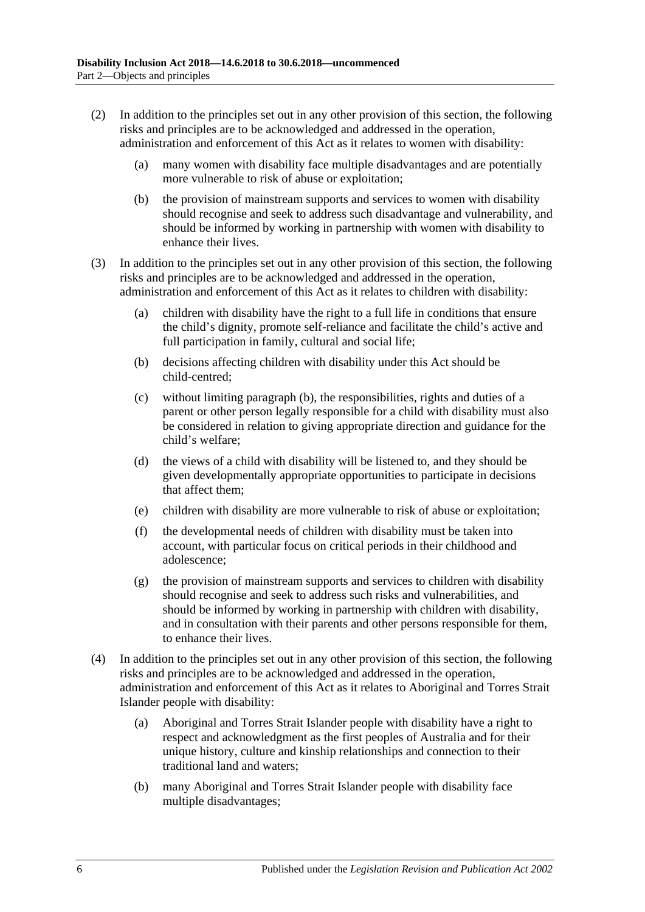- (2) In addition to the principles set out in any other provision of this section, the following risks and principles are to be acknowledged and addressed in the operation, administration and enforcement of this Act as it relates to women with disability:
	- (a) many women with disability face multiple disadvantages and are potentially more vulnerable to risk of abuse or exploitation;
	- (b) the provision of mainstream supports and services to women with disability should recognise and seek to address such disadvantage and vulnerability, and should be informed by working in partnership with women with disability to enhance their lives.
- <span id="page-5-0"></span>(3) In addition to the principles set out in any other provision of this section, the following risks and principles are to be acknowledged and addressed in the operation, administration and enforcement of this Act as it relates to children with disability:
	- (a) children with disability have the right to a full life in conditions that ensure the child's dignity, promote self-reliance and facilitate the child's active and full participation in family, cultural and social life;
	- (b) decisions affecting children with disability under this Act should be child-centred;
	- (c) without limiting [paragraph](#page-5-0) (b), the responsibilities, rights and duties of a parent or other person legally responsible for a child with disability must also be considered in relation to giving appropriate direction and guidance for the child's welfare;
	- (d) the views of a child with disability will be listened to, and they should be given developmentally appropriate opportunities to participate in decisions that affect them;
	- (e) children with disability are more vulnerable to risk of abuse or exploitation;
	- (f) the developmental needs of children with disability must be taken into account, with particular focus on critical periods in their childhood and adolescence;
	- (g) the provision of mainstream supports and services to children with disability should recognise and seek to address such risks and vulnerabilities, and should be informed by working in partnership with children with disability, and in consultation with their parents and other persons responsible for them, to enhance their lives.
- (4) In addition to the principles set out in any other provision of this section, the following risks and principles are to be acknowledged and addressed in the operation, administration and enforcement of this Act as it relates to Aboriginal and Torres Strait Islander people with disability:
	- (a) Aboriginal and Torres Strait Islander people with disability have a right to respect and acknowledgment as the first peoples of Australia and for their unique history, culture and kinship relationships and connection to their traditional land and waters;
	- (b) many Aboriginal and Torres Strait Islander people with disability face multiple disadvantages;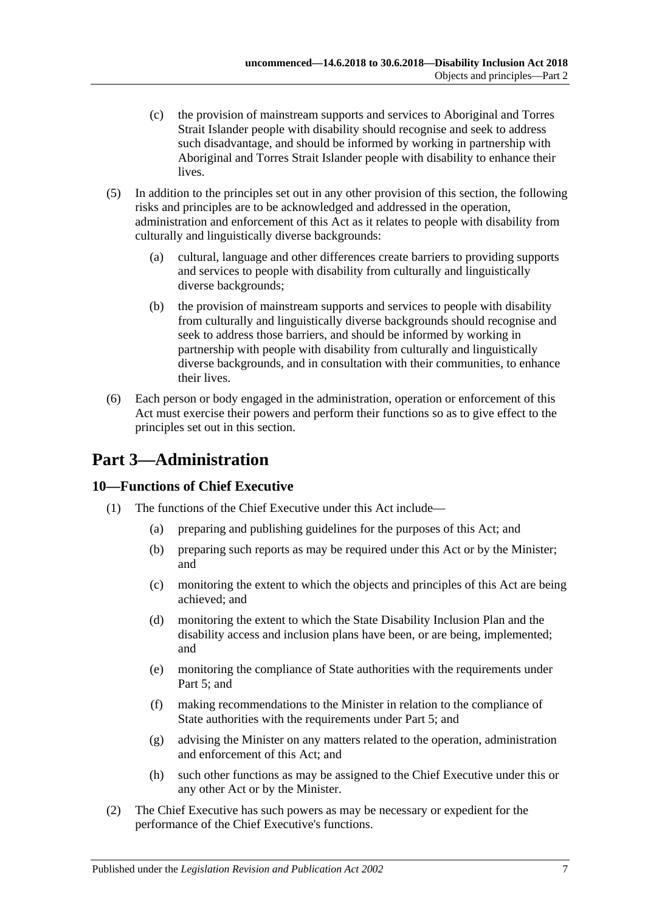- (c) the provision of mainstream supports and services to Aboriginal and Torres Strait Islander people with disability should recognise and seek to address such disadvantage, and should be informed by working in partnership with Aboriginal and Torres Strait Islander people with disability to enhance their lives.
- (5) In addition to the principles set out in any other provision of this section, the following risks and principles are to be acknowledged and addressed in the operation, administration and enforcement of this Act as it relates to people with disability from culturally and linguistically diverse backgrounds:
	- (a) cultural, language and other differences create barriers to providing supports and services to people with disability from culturally and linguistically diverse backgrounds;
	- (b) the provision of mainstream supports and services to people with disability from culturally and linguistically diverse backgrounds should recognise and seek to address those barriers, and should be informed by working in partnership with people with disability from culturally and linguistically diverse backgrounds, and in consultation with their communities, to enhance their lives.
- (6) Each person or body engaged in the administration, operation or enforcement of this Act must exercise their powers and perform their functions so as to give effect to the principles set out in this section.

## <span id="page-6-0"></span>**Part 3—Administration**

## <span id="page-6-1"></span>**10—Functions of Chief Executive**

- (1) The functions of the Chief Executive under this Act include—
	- (a) preparing and publishing guidelines for the purposes of this Act; and
	- (b) preparing such reports as may be required under this Act or by the Minister; and
	- (c) monitoring the extent to which the objects and principles of this Act are being achieved; and
	- (d) monitoring the extent to which the State Disability Inclusion Plan and the disability access and inclusion plans have been, or are being, implemented; and
	- (e) monitoring the compliance of State authorities with the requirements under [Part](#page-9-1) 5; and
	- (f) making recommendations to the Minister in relation to the compliance of State authorities with the requirements under [Part](#page-9-1) 5; and
	- (g) advising the Minister on any matters related to the operation, administration and enforcement of this Act; and
	- (h) such other functions as may be assigned to the Chief Executive under this or any other Act or by the Minister.
- (2) The Chief Executive has such powers as may be necessary or expedient for the performance of the Chief Executive's functions.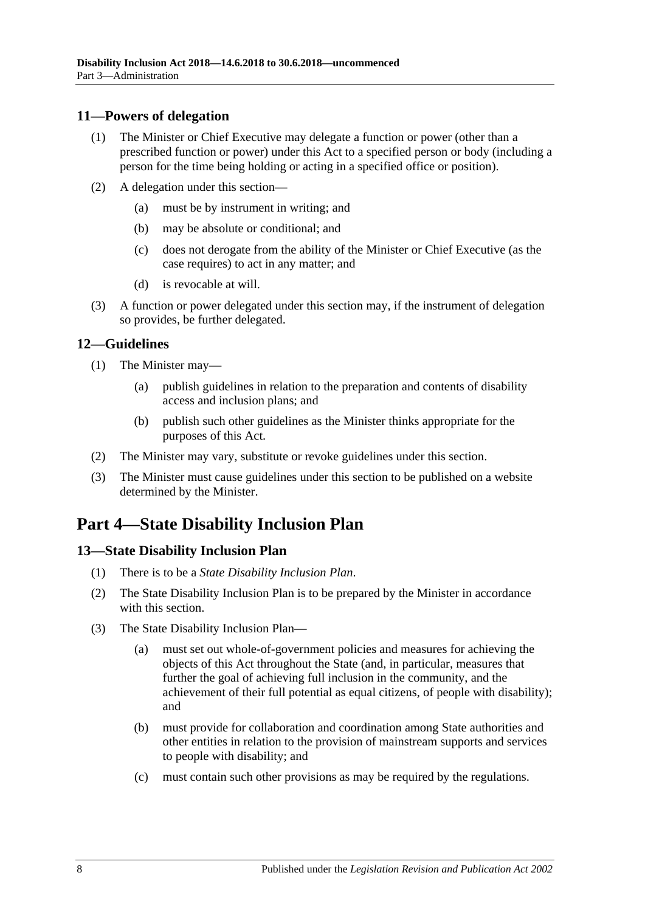#### <span id="page-7-0"></span>**11—Powers of delegation**

- (1) The Minister or Chief Executive may delegate a function or power (other than a prescribed function or power) under this Act to a specified person or body (including a person for the time being holding or acting in a specified office or position).
- (2) A delegation under this section—
	- (a) must be by instrument in writing; and
	- (b) may be absolute or conditional; and
	- (c) does not derogate from the ability of the Minister or Chief Executive (as the case requires) to act in any matter; and
	- (d) is revocable at will.
- (3) A function or power delegated under this section may, if the instrument of delegation so provides, be further delegated.

## <span id="page-7-1"></span>**12—Guidelines**

- <span id="page-7-4"></span>(1) The Minister may—
	- (a) publish guidelines in relation to the preparation and contents of disability access and inclusion plans; and
	- (b) publish such other guidelines as the Minister thinks appropriate for the purposes of this Act.
- (2) The Minister may vary, substitute or revoke guidelines under this section.
- (3) The Minister must cause guidelines under this section to be published on a website determined by the Minister.

## <span id="page-7-2"></span>**Part 4—State Disability Inclusion Plan**

## <span id="page-7-3"></span>**13—State Disability Inclusion Plan**

- (1) There is to be a *State Disability Inclusion Plan*.
- (2) The State Disability Inclusion Plan is to be prepared by the Minister in accordance with this section.
- (3) The State Disability Inclusion Plan—
	- (a) must set out whole-of-government policies and measures for achieving the objects of this Act throughout the State (and, in particular, measures that further the goal of achieving full inclusion in the community, and the achievement of their full potential as equal citizens, of people with disability); and
	- (b) must provide for collaboration and coordination among State authorities and other entities in relation to the provision of mainstream supports and services to people with disability; and
	- (c) must contain such other provisions as may be required by the regulations.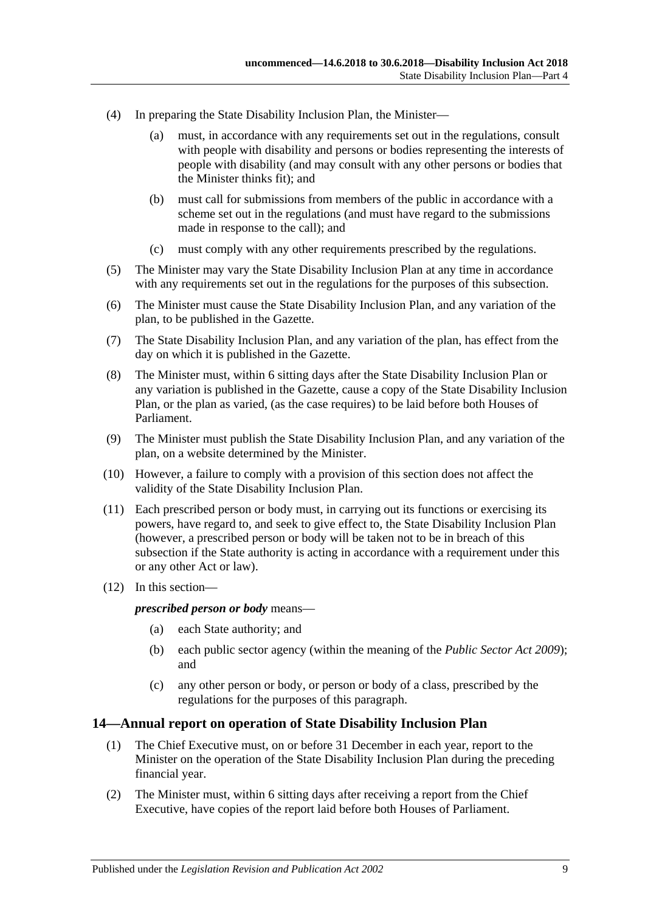- (4) In preparing the State Disability Inclusion Plan, the Minister—
	- (a) must, in accordance with any requirements set out in the regulations, consult with people with disability and persons or bodies representing the interests of people with disability (and may consult with any other persons or bodies that the Minister thinks fit); and
	- (b) must call for submissions from members of the public in accordance with a scheme set out in the regulations (and must have regard to the submissions made in response to the call); and
	- (c) must comply with any other requirements prescribed by the regulations.
- (5) The Minister may vary the State Disability Inclusion Plan at any time in accordance with any requirements set out in the regulations for the purposes of this subsection.
- (6) The Minister must cause the State Disability Inclusion Plan, and any variation of the plan, to be published in the Gazette.
- (7) The State Disability Inclusion Plan, and any variation of the plan, has effect from the day on which it is published in the Gazette.
- (8) The Minister must, within 6 sitting days after the State Disability Inclusion Plan or any variation is published in the Gazette, cause a copy of the State Disability Inclusion Plan, or the plan as varied, (as the case requires) to be laid before both Houses of Parliament.
- (9) The Minister must publish the State Disability Inclusion Plan, and any variation of the plan, on a website determined by the Minister.
- (10) However, a failure to comply with a provision of this section does not affect the validity of the State Disability Inclusion Plan.
- (11) Each prescribed person or body must, in carrying out its functions or exercising its powers, have regard to, and seek to give effect to, the State Disability Inclusion Plan (however, a prescribed person or body will be taken not to be in breach of this subsection if the State authority is acting in accordance with a requirement under this or any other Act or law).
- (12) In this section—

*prescribed person or body* means—

- (a) each State authority; and
- (b) each public sector agency (within the meaning of the *[Public Sector Act](http://www.legislation.sa.gov.au/index.aspx?action=legref&type=act&legtitle=Public%20Sector%20Act%202009) 2009*); and
- (c) any other person or body, or person or body of a class, prescribed by the regulations for the purposes of this paragraph.

#### <span id="page-8-1"></span><span id="page-8-0"></span>**14—Annual report on operation of State Disability Inclusion Plan**

- (1) The Chief Executive must, on or before 31 December in each year, report to the Minister on the operation of the State Disability Inclusion Plan during the preceding financial year.
- (2) The Minister must, within 6 sitting days after receiving a report from the Chief Executive, have copies of the report laid before both Houses of Parliament.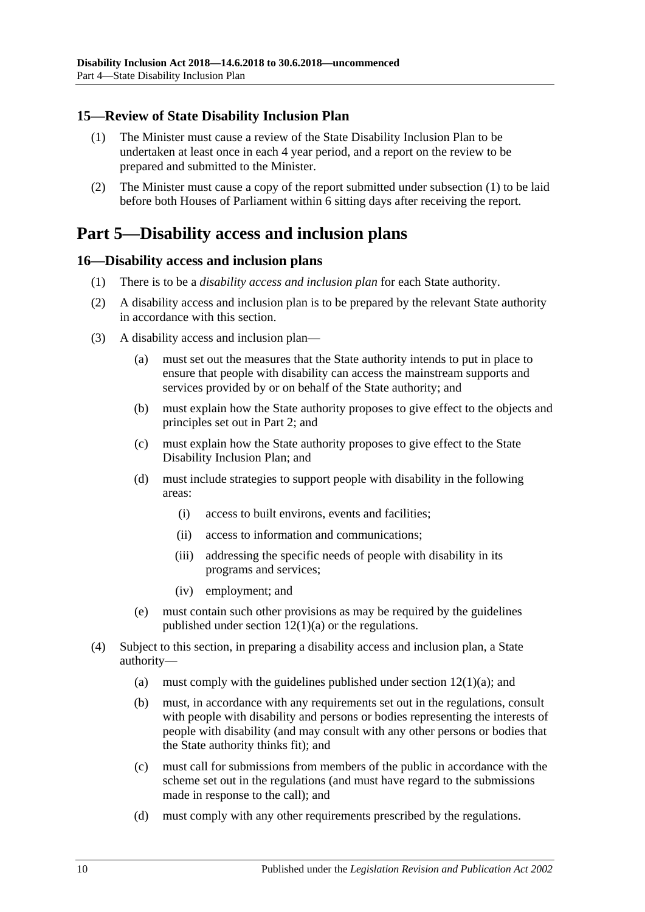### <span id="page-9-3"></span><span id="page-9-0"></span>**15—Review of State Disability Inclusion Plan**

- (1) The Minister must cause a review of the State Disability Inclusion Plan to be undertaken at least once in each 4 year period, and a report on the review to be prepared and submitted to the Minister.
- (2) The Minister must cause a copy of the report submitted under [subsection](#page-9-3) (1) to be laid before both Houses of Parliament within 6 sitting days after receiving the report.

## <span id="page-9-1"></span>**Part 5—Disability access and inclusion plans**

#### <span id="page-9-2"></span>**16—Disability access and inclusion plans**

- (1) There is to be a *disability access and inclusion plan* for each State authority.
- (2) A disability access and inclusion plan is to be prepared by the relevant State authority in accordance with this section.
- (3) A disability access and inclusion plan—
	- (a) must set out the measures that the State authority intends to put in place to ensure that people with disability can access the mainstream supports and services provided by or on behalf of the State authority; and
	- (b) must explain how the State authority proposes to give effect to the objects and principles set out in [Part](#page-3-3) 2; and
	- (c) must explain how the State authority proposes to give effect to the State Disability Inclusion Plan; and
	- (d) must include strategies to support people with disability in the following areas:
		- (i) access to built environs, events and facilities;
		- (ii) access to information and communications;
		- (iii) addressing the specific needs of people with disability in its programs and services;
		- (iv) employment; and
	- (e) must contain such other provisions as may be required by the guidelines published under section  $12(1)(a)$  or the regulations.
- (4) Subject to this section, in preparing a disability access and inclusion plan, a State authority—
	- (a) must comply with the guidelines published under section  $12(1)(a)$ ; and
	- (b) must, in accordance with any requirements set out in the regulations, consult with people with disability and persons or bodies representing the interests of people with disability (and may consult with any other persons or bodies that the State authority thinks fit); and
	- (c) must call for submissions from members of the public in accordance with the scheme set out in the regulations (and must have regard to the submissions made in response to the call); and
	- (d) must comply with any other requirements prescribed by the regulations.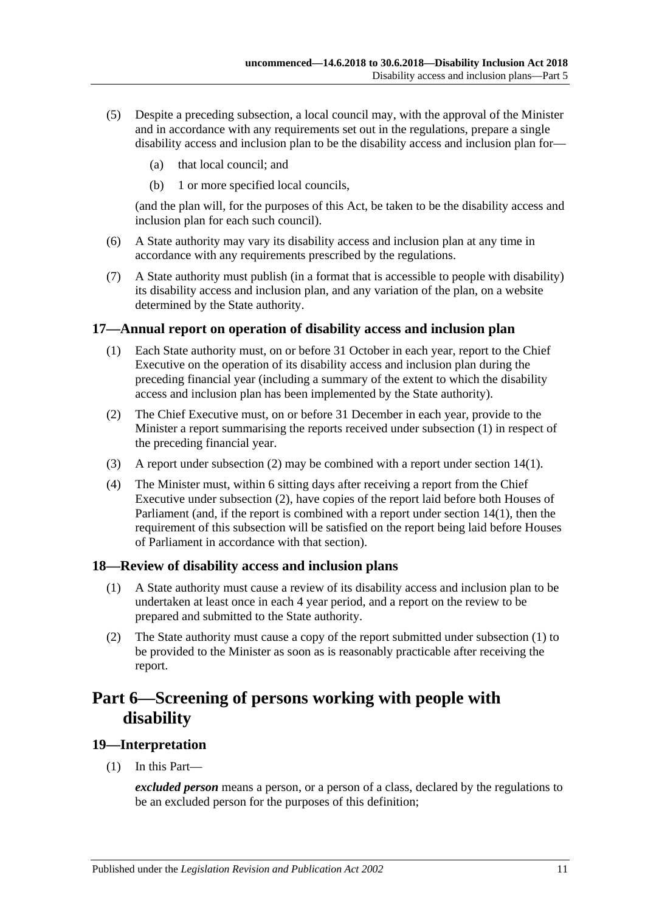- (5) Despite a preceding subsection, a local council may, with the approval of the Minister and in accordance with any requirements set out in the regulations, prepare a single disability access and inclusion plan to be the disability access and inclusion plan for—
	- (a) that local council; and
	- (b) 1 or more specified local councils,

(and the plan will, for the purposes of this Act, be taken to be the disability access and inclusion plan for each such council).

- (6) A State authority may vary its disability access and inclusion plan at any time in accordance with any requirements prescribed by the regulations.
- (7) A State authority must publish (in a format that is accessible to people with disability) its disability access and inclusion plan, and any variation of the plan, on a website determined by the State authority.

#### <span id="page-10-4"></span><span id="page-10-0"></span>**17—Annual report on operation of disability access and inclusion plan**

- (1) Each State authority must, on or before 31 October in each year, report to the Chief Executive on the operation of its disability access and inclusion plan during the preceding financial year (including a summary of the extent to which the disability access and inclusion plan has been implemented by the State authority).
- <span id="page-10-5"></span>(2) The Chief Executive must, on or before 31 December in each year, provide to the Minister a report summarising the reports received under [subsection](#page-10-4) (1) in respect of the preceding financial year.
- (3) A report under [subsection](#page-10-5) (2) may be combined with a report under [section](#page-8-1) 14(1).
- (4) The Minister must, within 6 sitting days after receiving a report from the Chief Executive under [subsection](#page-10-5) (2), have copies of the report laid before both Houses of Parliament (and, if the report is combined with a report under [section](#page-8-1) 14(1), then the requirement of this subsection will be satisfied on the report being laid before Houses of Parliament in accordance with that section).

#### <span id="page-10-6"></span><span id="page-10-1"></span>**18—Review of disability access and inclusion plans**

- (1) A State authority must cause a review of its disability access and inclusion plan to be undertaken at least once in each 4 year period, and a report on the review to be prepared and submitted to the State authority.
- (2) The State authority must cause a copy of the report submitted under [subsection](#page-10-6) (1) to be provided to the Minister as soon as is reasonably practicable after receiving the report.

## <span id="page-10-2"></span>**Part 6—Screening of persons working with people with disability**

#### <span id="page-10-3"></span>**19—Interpretation**

(1) In this Part—

*excluded person* means a person, or a person of a class, declared by the regulations to be an excluded person for the purposes of this definition;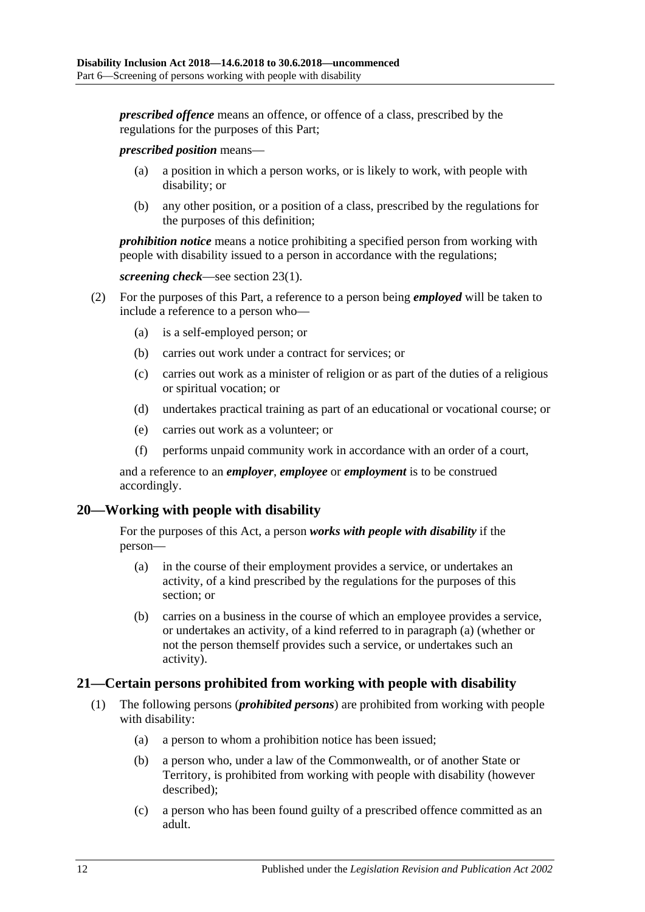*prescribed offence* means an offence, or offence of a class, prescribed by the regulations for the purposes of this Part;

*prescribed position* means—

- (a) a position in which a person works, or is likely to work, with people with disability; or
- (b) any other position, or a position of a class, prescribed by the regulations for the purposes of this definition;

*prohibition notice* means a notice prohibiting a specified person from working with people with disability issued to a person in accordance with the regulations;

```
screening check—see section 23(1).
```
- (2) For the purposes of this Part, a reference to a person being *employed* will be taken to include a reference to a person who—
	- (a) is a self-employed person; or
	- (b) carries out work under a contract for services; or
	- (c) carries out work as a minister of religion or as part of the duties of a religious or spiritual vocation; or
	- (d) undertakes practical training as part of an educational or vocational course; or
	- (e) carries out work as a volunteer; or
	- (f) performs unpaid community work in accordance with an order of a court,

and a reference to an *employer*, *employee* or *employment* is to be construed accordingly.

#### <span id="page-11-2"></span><span id="page-11-0"></span>**20—Working with people with disability**

For the purposes of this Act, a person *works with people with disability* if the person—

- (a) in the course of their employment provides a service, or undertakes an activity, of a kind prescribed by the regulations for the purposes of this section; or
- (b) carries on a business in the course of which an employee provides a service, or undertakes an activity, of a kind referred to in [paragraph](#page-11-2) (a) (whether or not the person themself provides such a service, or undertakes such an activity).

#### <span id="page-11-4"></span><span id="page-11-1"></span>**21—Certain persons prohibited from working with people with disability**

- <span id="page-11-3"></span>(1) The following persons (*prohibited persons*) are prohibited from working with people with disability:
	- (a) a person to whom a prohibition notice has been issued;
	- (b) a person who, under a law of the Commonwealth, or of another State or Territory, is prohibited from working with people with disability (however described);
	- (c) a person who has been found guilty of a prescribed offence committed as an adult.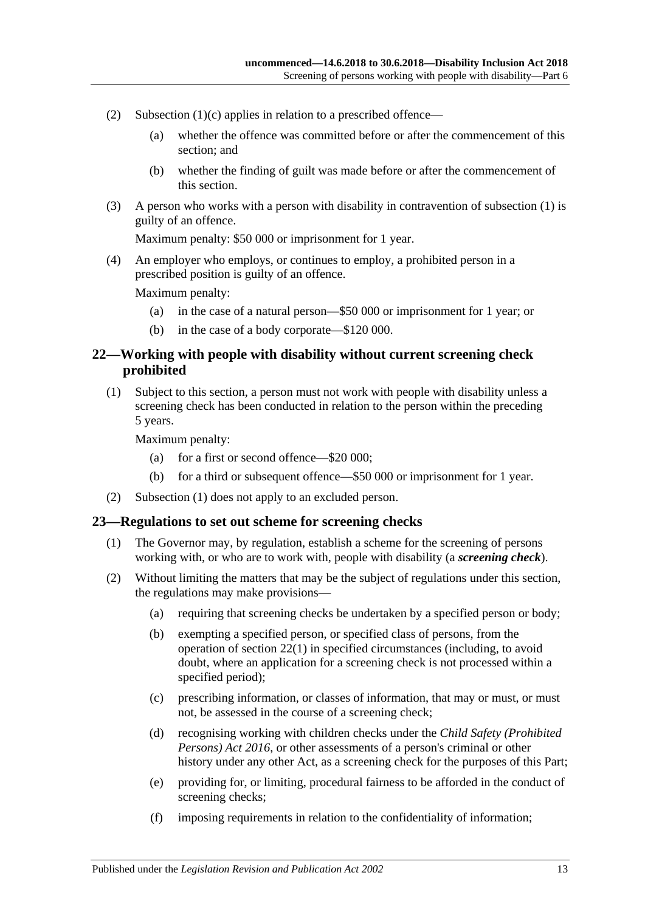- (2) [Subsection](#page-11-3)  $(1)(c)$  applies in relation to a prescribed offence—
	- (a) whether the offence was committed before or after the commencement of this section; and
	- (b) whether the finding of guilt was made before or after the commencement of this section.
- (3) A person who works with a person with disability in contravention of [subsection](#page-11-4) (1) is guilty of an offence.

Maximum penalty: \$50 000 or imprisonment for 1 year.

(4) An employer who employs, or continues to employ, a prohibited person in a prescribed position is guilty of an offence.

Maximum penalty:

- (a) in the case of a natural person—\$50 000 or imprisonment for 1 year; or
- (b) in the case of a body corporate—\$120 000.

#### <span id="page-12-0"></span>**22—Working with people with disability without current screening check prohibited**

<span id="page-12-3"></span>(1) Subject to this section, a person must not work with people with disability unless a screening check has been conducted in relation to the person within the preceding 5 years.

Maximum penalty:

- (a) for a first or second offence—\$20 000;
- (b) for a third or subsequent offence—\$50 000 or imprisonment for 1 year.
- (2) [Subsection](#page-12-3) (1) does not apply to an excluded person.

#### <span id="page-12-2"></span><span id="page-12-1"></span>**23—Regulations to set out scheme for screening checks**

- (1) The Governor may, by regulation, establish a scheme for the screening of persons working with, or who are to work with, people with disability (a *screening check*).
- (2) Without limiting the matters that may be the subject of regulations under this section, the regulations may make provisions—
	- (a) requiring that screening checks be undertaken by a specified person or body;
	- (b) exempting a specified person, or specified class of persons, from the operation of [section](#page-12-3) 22(1) in specified circumstances (including, to avoid doubt, where an application for a screening check is not processed within a specified period);
	- (c) prescribing information, or classes of information, that may or must, or must not, be assessed in the course of a screening check;
	- (d) recognising working with children checks under the *[Child Safety \(Prohibited](http://www.legislation.sa.gov.au/index.aspx?action=legref&type=act&legtitle=Child%20Safety%20(Prohibited%20Persons)%20Act%202016)  [Persons\) Act](http://www.legislation.sa.gov.au/index.aspx?action=legref&type=act&legtitle=Child%20Safety%20(Prohibited%20Persons)%20Act%202016) 2016*, or other assessments of a person's criminal or other history under any other Act, as a screening check for the purposes of this Part;
	- (e) providing for, or limiting, procedural fairness to be afforded in the conduct of screening checks;
	- (f) imposing requirements in relation to the confidentiality of information;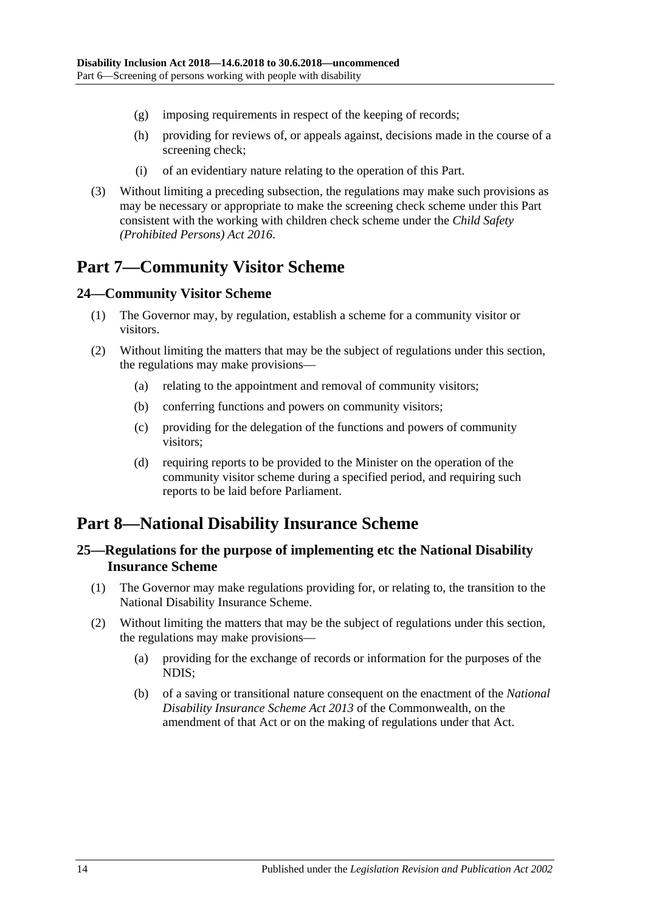- (g) imposing requirements in respect of the keeping of records;
- (h) providing for reviews of, or appeals against, decisions made in the course of a screening check;
- (i) of an evidentiary nature relating to the operation of this Part.
- (3) Without limiting a preceding subsection, the regulations may make such provisions as may be necessary or appropriate to make the screening check scheme under this Part consistent with the working with children check scheme under the *[Child Safety](http://www.legislation.sa.gov.au/index.aspx?action=legref&type=act&legtitle=Child%20Safety%20(Prohibited%20Persons)%20Act%202016)  [\(Prohibited Persons\) Act](http://www.legislation.sa.gov.au/index.aspx?action=legref&type=act&legtitle=Child%20Safety%20(Prohibited%20Persons)%20Act%202016) 2016*.

## <span id="page-13-0"></span>**Part 7—Community Visitor Scheme**

#### <span id="page-13-1"></span>**24—Community Visitor Scheme**

- (1) The Governor may, by regulation, establish a scheme for a community visitor or visitors.
- (2) Without limiting the matters that may be the subject of regulations under this section, the regulations may make provisions—
	- (a) relating to the appointment and removal of community visitors;
	- (b) conferring functions and powers on community visitors;
	- (c) providing for the delegation of the functions and powers of community visitors;
	- (d) requiring reports to be provided to the Minister on the operation of the community visitor scheme during a specified period, and requiring such reports to be laid before Parliament.

## <span id="page-13-2"></span>**Part 8—National Disability Insurance Scheme**

#### <span id="page-13-3"></span>**25—Regulations for the purpose of implementing etc the National Disability Insurance Scheme**

- (1) The Governor may make regulations providing for, or relating to, the transition to the National Disability Insurance Scheme.
- (2) Without limiting the matters that may be the subject of regulations under this section, the regulations may make provisions—
	- (a) providing for the exchange of records or information for the purposes of the NDIS;
	- (b) of a saving or transitional nature consequent on the enactment of the *National Disability Insurance Scheme Act 2013* of the Commonwealth, on the amendment of that Act or on the making of regulations under that Act.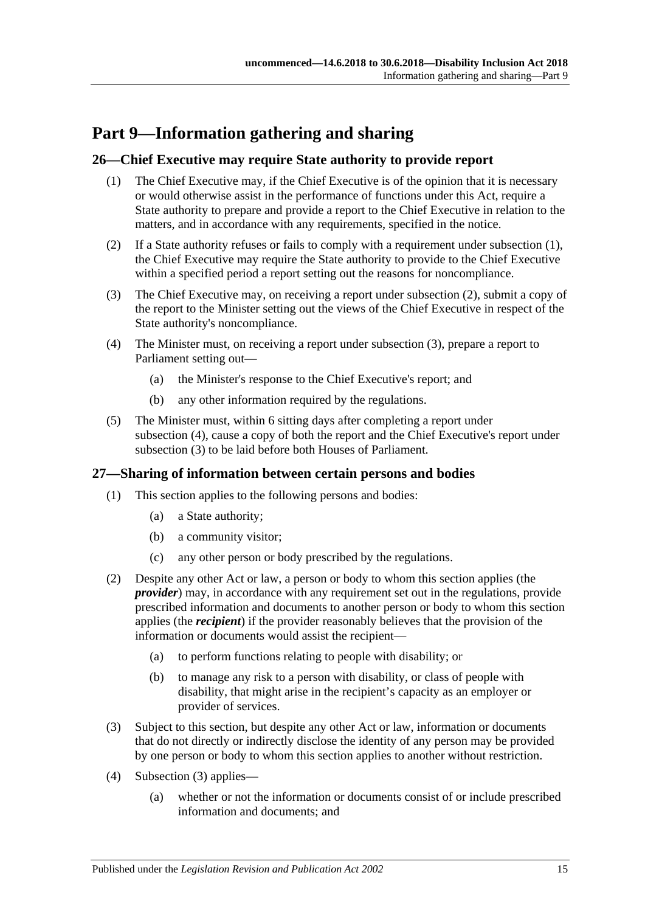## <span id="page-14-0"></span>**Part 9—Information gathering and sharing**

### <span id="page-14-3"></span><span id="page-14-1"></span>**26—Chief Executive may require State authority to provide report**

- (1) The Chief Executive may, if the Chief Executive is of the opinion that it is necessary or would otherwise assist in the performance of functions under this Act, require a State authority to prepare and provide a report to the Chief Executive in relation to the matters, and in accordance with any requirements, specified in the notice.
- <span id="page-14-4"></span>(2) If a State authority refuses or fails to comply with a requirement under [subsection](#page-14-3) (1), the Chief Executive may require the State authority to provide to the Chief Executive within a specified period a report setting out the reasons for noncompliance.
- <span id="page-14-5"></span>(3) The Chief Executive may, on receiving a report under [subsection](#page-14-4) (2), submit a copy of the report to the Minister setting out the views of the Chief Executive in respect of the State authority's noncompliance.
- <span id="page-14-6"></span>(4) The Minister must, on receiving a report under [subsection](#page-14-5) (3), prepare a report to Parliament setting out—
	- (a) the Minister's response to the Chief Executive's report; and
	- (b) any other information required by the regulations.
- (5) The Minister must, within 6 sitting days after completing a report under [subsection](#page-14-6) (4), cause a copy of both the report and the Chief Executive's report under [subsection](#page-14-5) (3) to be laid before both Houses of Parliament.

#### <span id="page-14-2"></span>**27—Sharing of information between certain persons and bodies**

- (1) This section applies to the following persons and bodies:
	- (a) a State authority;
	- (b) a community visitor;
	- (c) any other person or body prescribed by the regulations.
- (2) Despite any other Act or law, a person or body to whom this section applies (the *provider*) may, in accordance with any requirement set out in the regulations, provide prescribed information and documents to another person or body to whom this section applies (the *recipient*) if the provider reasonably believes that the provision of the information or documents would assist the recipient—
	- (a) to perform functions relating to people with disability; or
	- (b) to manage any risk to a person with disability, or class of people with disability, that might arise in the recipient's capacity as an employer or provider of services.
- <span id="page-14-7"></span>(3) Subject to this section, but despite any other Act or law, information or documents that do not directly or indirectly disclose the identity of any person may be provided by one person or body to whom this section applies to another without restriction.
- (4) [Subsection](#page-14-7) (3) applies—
	- (a) whether or not the information or documents consist of or include prescribed information and documents; and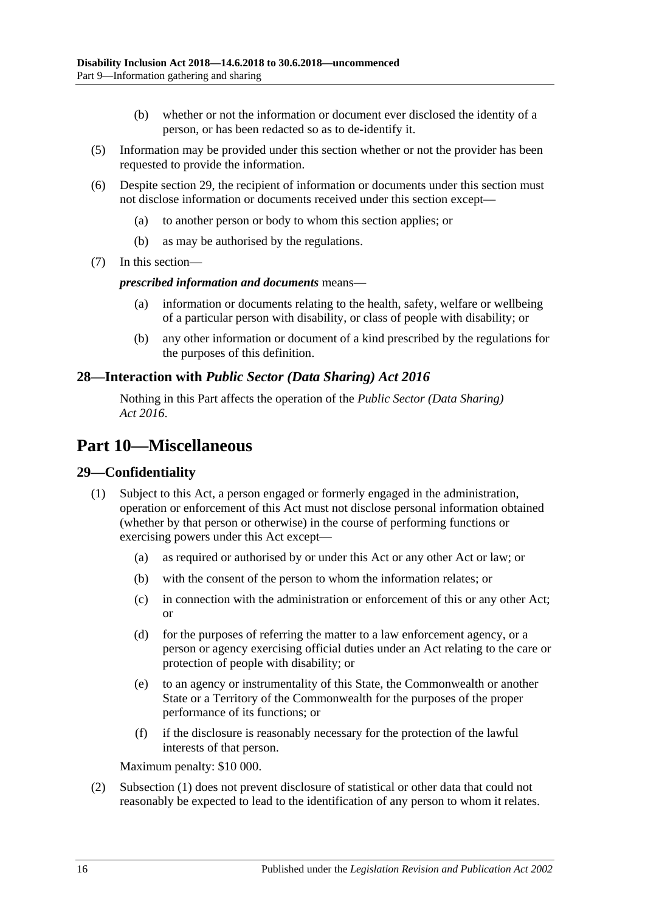- (b) whether or not the information or document ever disclosed the identity of a person, or has been redacted so as to de-identify it.
- (5) Information may be provided under this section whether or not the provider has been requested to provide the information.
- (6) Despite [section](#page-15-2) 29, the recipient of information or documents under this section must not disclose information or documents received under this section except—
	- (a) to another person or body to whom this section applies; or
	- (b) as may be authorised by the regulations.
- (7) In this section—

#### *prescribed information and documents* means—

- (a) information or documents relating to the health, safety, welfare or wellbeing of a particular person with disability, or class of people with disability; or
- (b) any other information or document of a kind prescribed by the regulations for the purposes of this definition.

#### <span id="page-15-0"></span>**28—Interaction with** *Public Sector (Data Sharing) Act 2016*

Nothing in this Part affects the operation of the *[Public Sector \(Data Sharing\)](http://www.legislation.sa.gov.au/index.aspx?action=legref&type=act&legtitle=Public%20Sector%20(Data%20Sharing)%20Act%202016) Act [2016](http://www.legislation.sa.gov.au/index.aspx?action=legref&type=act&legtitle=Public%20Sector%20(Data%20Sharing)%20Act%202016)*.

## <span id="page-15-1"></span>**Part 10—Miscellaneous**

#### <span id="page-15-3"></span><span id="page-15-2"></span>**29—Confidentiality**

- (1) Subject to this Act, a person engaged or formerly engaged in the administration, operation or enforcement of this Act must not disclose personal information obtained (whether by that person or otherwise) in the course of performing functions or exercising powers under this Act except—
	- (a) as required or authorised by or under this Act or any other Act or law; or
	- (b) with the consent of the person to whom the information relates; or
	- (c) in connection with the administration or enforcement of this or any other Act; or
	- (d) for the purposes of referring the matter to a law enforcement agency, or a person or agency exercising official duties under an Act relating to the care or protection of people with disability; or
	- (e) to an agency or instrumentality of this State, the Commonwealth or another State or a Territory of the Commonwealth for the purposes of the proper performance of its functions; or
	- (f) if the disclosure is reasonably necessary for the protection of the lawful interests of that person.

Maximum penalty: \$10 000.

(2) [Subsection](#page-15-3) (1) does not prevent disclosure of statistical or other data that could not reasonably be expected to lead to the identification of any person to whom it relates.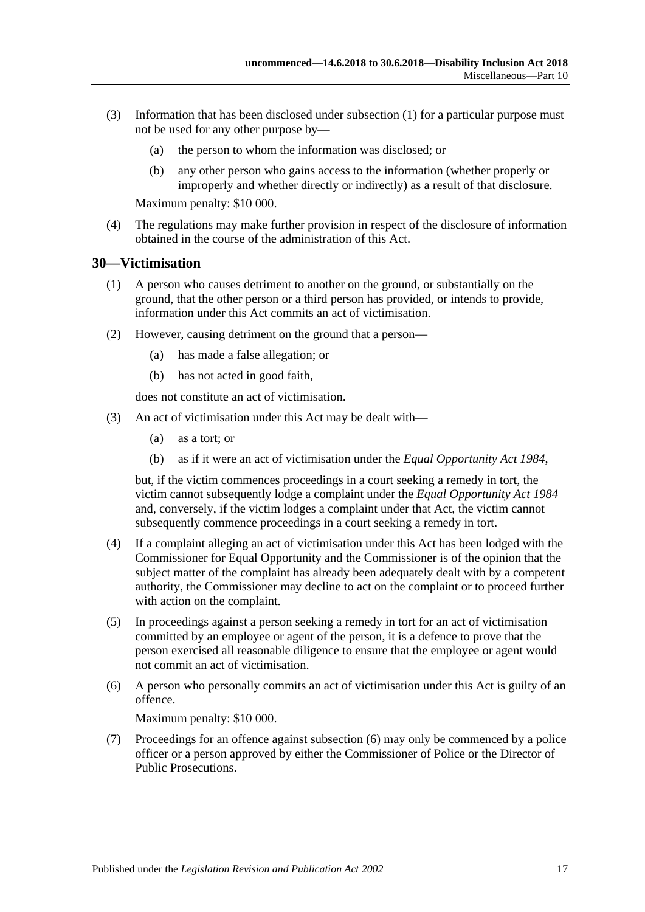- (3) Information that has been disclosed under [subsection](#page-15-3) (1) for a particular purpose must not be used for any other purpose by—
	- (a) the person to whom the information was disclosed; or
	- (b) any other person who gains access to the information (whether properly or improperly and whether directly or indirectly) as a result of that disclosure.

Maximum penalty: \$10 000.

(4) The regulations may make further provision in respect of the disclosure of information obtained in the course of the administration of this Act.

#### <span id="page-16-0"></span>**30—Victimisation**

- (1) A person who causes detriment to another on the ground, or substantially on the ground, that the other person or a third person has provided, or intends to provide, information under this Act commits an act of victimisation.
- (2) However, causing detriment on the ground that a person—
	- (a) has made a false allegation; or
	- (b) has not acted in good faith,

does not constitute an act of victimisation.

- (3) An act of victimisation under this Act may be dealt with—
	- (a) as a tort; or
	- (b) as if it were an act of victimisation under the *[Equal Opportunity Act](http://www.legislation.sa.gov.au/index.aspx?action=legref&type=act&legtitle=Equal%20Opportunity%20Act%201984) 1984*,

but, if the victim commences proceedings in a court seeking a remedy in tort, the victim cannot subsequently lodge a complaint under the *[Equal Opportunity Act](http://www.legislation.sa.gov.au/index.aspx?action=legref&type=act&legtitle=Equal%20Opportunity%20Act%201984) 1984* and, conversely, if the victim lodges a complaint under that Act, the victim cannot subsequently commence proceedings in a court seeking a remedy in tort.

- (4) If a complaint alleging an act of victimisation under this Act has been lodged with the Commissioner for Equal Opportunity and the Commissioner is of the opinion that the subject matter of the complaint has already been adequately dealt with by a competent authority, the Commissioner may decline to act on the complaint or to proceed further with action on the complaint.
- (5) In proceedings against a person seeking a remedy in tort for an act of victimisation committed by an employee or agent of the person, it is a defence to prove that the person exercised all reasonable diligence to ensure that the employee or agent would not commit an act of victimisation.
- <span id="page-16-1"></span>(6) A person who personally commits an act of victimisation under this Act is guilty of an offence.

Maximum penalty: \$10 000.

(7) Proceedings for an offence against [subsection](#page-16-1) (6) may only be commenced by a police officer or a person approved by either the Commissioner of Police or the Director of Public Prosecutions.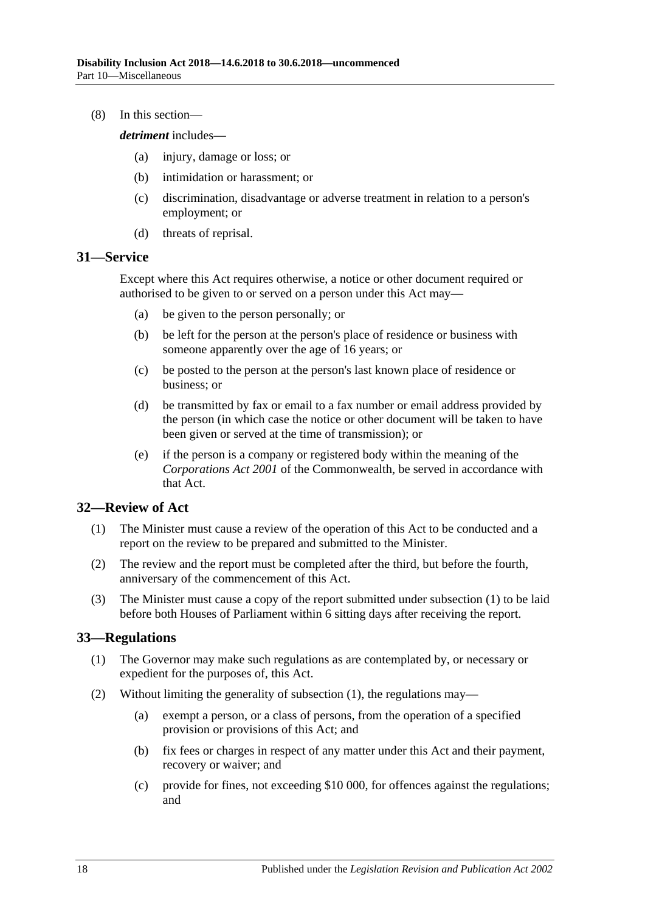(8) In this section—

*detriment* includes—

- (a) injury, damage or loss; or
- (b) intimidation or harassment; or
- (c) discrimination, disadvantage or adverse treatment in relation to a person's employment; or
- (d) threats of reprisal.

#### <span id="page-17-0"></span>**31—Service**

Except where this Act requires otherwise, a notice or other document required or authorised to be given to or served on a person under this Act may—

- (a) be given to the person personally; or
- (b) be left for the person at the person's place of residence or business with someone apparently over the age of 16 years; or
- (c) be posted to the person at the person's last known place of residence or business; or
- (d) be transmitted by fax or email to a fax number or email address provided by the person (in which case the notice or other document will be taken to have been given or served at the time of transmission); or
- (e) if the person is a company or registered body within the meaning of the *Corporations Act 2001* of the Commonwealth, be served in accordance with that Act.

#### <span id="page-17-3"></span><span id="page-17-1"></span>**32—Review of Act**

- (1) The Minister must cause a review of the operation of this Act to be conducted and a report on the review to be prepared and submitted to the Minister.
- (2) The review and the report must be completed after the third, but before the fourth, anniversary of the commencement of this Act.
- (3) The Minister must cause a copy of the report submitted under [subsection](#page-17-3) (1) to be laid before both Houses of Parliament within 6 sitting days after receiving the report.

#### <span id="page-17-4"></span><span id="page-17-2"></span>**33—Regulations**

- (1) The Governor may make such regulations as are contemplated by, or necessary or expedient for the purposes of, this Act.
- (2) Without limiting the generality of [subsection](#page-17-4) (1), the regulations may—
	- (a) exempt a person, or a class of persons, from the operation of a specified provision or provisions of this Act; and
	- (b) fix fees or charges in respect of any matter under this Act and their payment, recovery or waiver; and
	- (c) provide for fines, not exceeding \$10 000, for offences against the regulations; and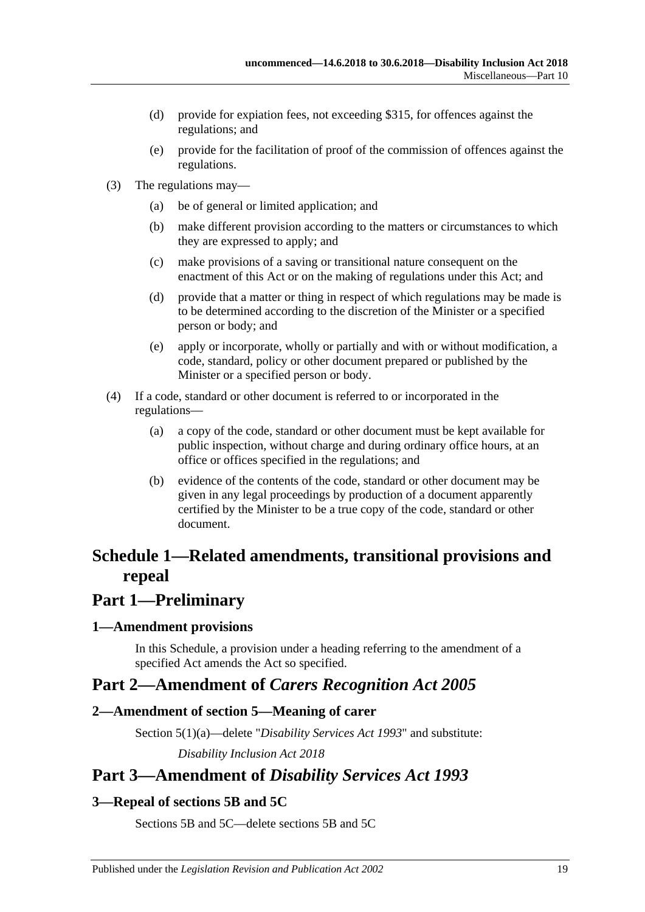- (d) provide for expiation fees, not exceeding \$315, for offences against the regulations; and
- (e) provide for the facilitation of proof of the commission of offences against the regulations.
- (3) The regulations may—
	- (a) be of general or limited application; and
	- (b) make different provision according to the matters or circumstances to which they are expressed to apply; and
	- (c) make provisions of a saving or transitional nature consequent on the enactment of this Act or on the making of regulations under this Act; and
	- (d) provide that a matter or thing in respect of which regulations may be made is to be determined according to the discretion of the Minister or a specified person or body; and
	- (e) apply or incorporate, wholly or partially and with or without modification, a code, standard, policy or other document prepared or published by the Minister or a specified person or body.
- (4) If a code, standard or other document is referred to or incorporated in the regulations—
	- (a) a copy of the code, standard or other document must be kept available for public inspection, without charge and during ordinary office hours, at an office or offices specified in the regulations; and
	- (b) evidence of the contents of the code, standard or other document may be given in any legal proceedings by production of a document apparently certified by the Minister to be a true copy of the code, standard or other document.

## <span id="page-18-0"></span>**Schedule 1—Related amendments, transitional provisions and repeal**

## **Part 1—Preliminary**

#### <span id="page-18-1"></span>**1—Amendment provisions**

In this Schedule, a provision under a heading referring to the amendment of a specified Act amends the Act so specified.

## **Part 2—Amendment of** *Carers Recognition Act 2005*

## <span id="page-18-2"></span>**2—Amendment of section 5—Meaning of carer**

Section 5(1)(a)—delete "*[Disability Services Act](http://www.legislation.sa.gov.au/index.aspx?action=legref&type=act&legtitle=Disability%20Services%20Act%201993) 1993*" and substitute:

*[Disability Inclusion Act](http://www.legislation.sa.gov.au/index.aspx?action=legref&type=act&legtitle=Disability%20Inclusion%20Act%202018) 2018*

## **Part 3—Amendment of** *Disability Services Act 1993*

## <span id="page-18-3"></span>**3—Repeal of sections 5B and 5C**

Sections 5B and 5C—delete sections 5B and 5C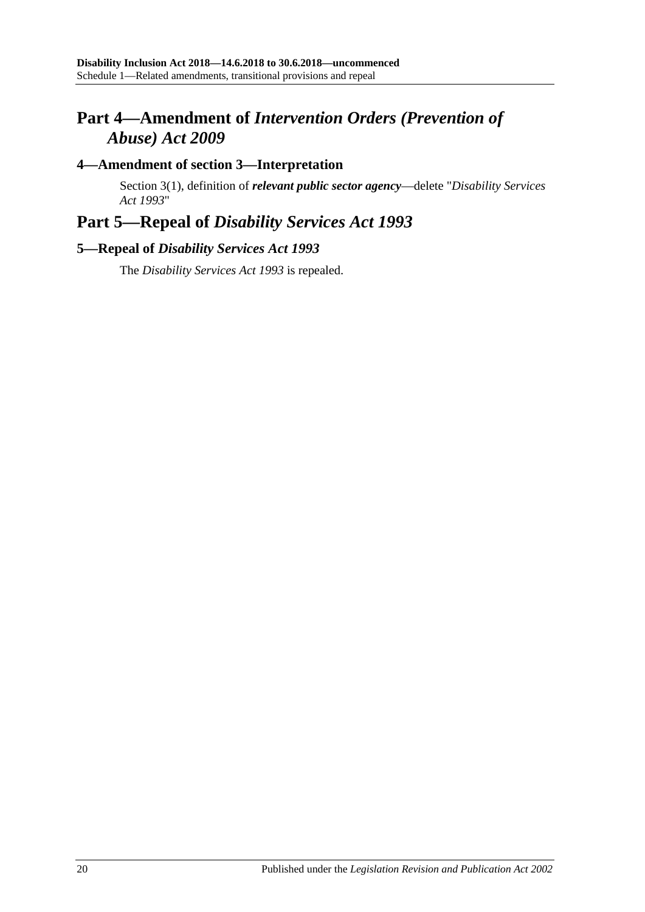## **Part 4—Amendment of** *Intervention Orders (Prevention of Abuse) Act 2009*

### <span id="page-19-0"></span>**4—Amendment of section 3—Interpretation**

Section 3(1), definition of *relevant public sector agency*—delete "*[Disability Services](http://www.legislation.sa.gov.au/index.aspx?action=legref&type=act&legtitle=Disability%20Services%20Act%201993)  Act [1993](http://www.legislation.sa.gov.au/index.aspx?action=legref&type=act&legtitle=Disability%20Services%20Act%201993)*"

## **Part 5—Repeal of** *Disability Services Act 1993*

### <span id="page-19-1"></span>**5—Repeal of** *Disability Services Act 1993*

The *[Disability Services Act](http://www.legislation.sa.gov.au/index.aspx?action=legref&type=act&legtitle=Disability%20Services%20Act%201993) 1993* is repealed.